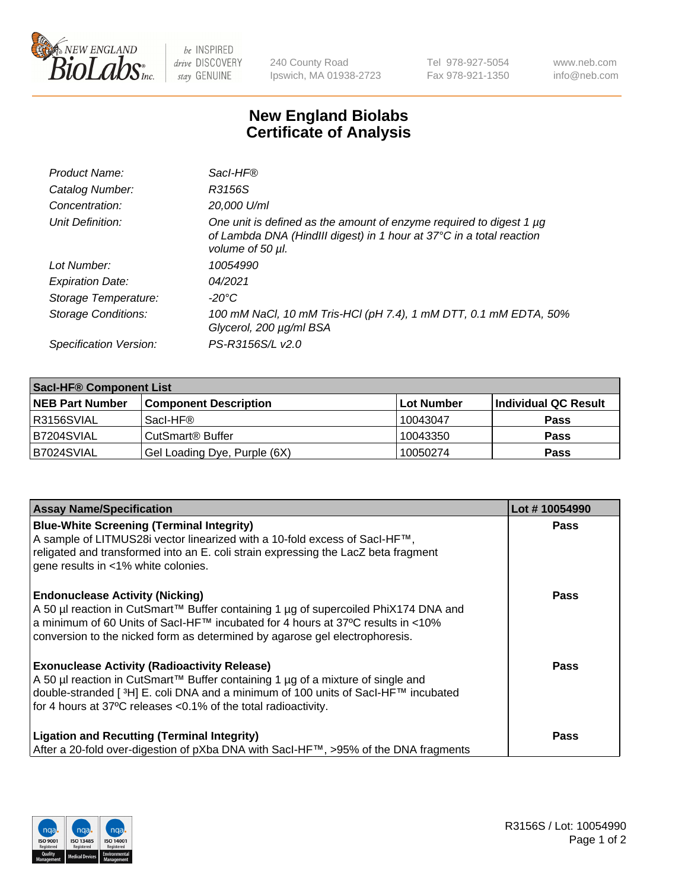

 $be$  INSPIRED drive DISCOVERY stay GENUINE

240 County Road Ipswich, MA 01938-2723 Tel 978-927-5054 Fax 978-921-1350 www.neb.com info@neb.com

## **New England Biolabs Certificate of Analysis**

| Product Name:              | Sacl-HF®                                                                                                                                                        |
|----------------------------|-----------------------------------------------------------------------------------------------------------------------------------------------------------------|
| Catalog Number:            | R3156S                                                                                                                                                          |
| Concentration:             | 20,000 U/ml                                                                                                                                                     |
| Unit Definition:           | One unit is defined as the amount of enzyme required to digest 1 µg<br>of Lambda DNA (HindIII digest) in 1 hour at 37°C in a total reaction<br>volume of 50 µl. |
| Lot Number:                | 10054990                                                                                                                                                        |
| <b>Expiration Date:</b>    | 04/2021                                                                                                                                                         |
| Storage Temperature:       | $-20^{\circ}$ C                                                                                                                                                 |
| <b>Storage Conditions:</b> | 100 mM NaCl, 10 mM Tris-HCl (pH 7.4), 1 mM DTT, 0.1 mM EDTA, 50%<br>Glycerol, 200 µg/ml BSA                                                                     |
| Specification Version:     | PS-R3156S/L v2.0                                                                                                                                                |

| <b>Saci-HF® Component List</b> |                                    |                   |                      |  |  |
|--------------------------------|------------------------------------|-------------------|----------------------|--|--|
| <b>NEB Part Number</b>         | <b>Component Description</b>       | <b>Lot Number</b> | Individual QC Result |  |  |
| I R3156SVIAL                   | Sacl-HF®                           | 10043047          | <b>Pass</b>          |  |  |
| B7204SVIAL                     | <b>CutSmart<sup>®</sup> Buffer</b> | 10043350          | <b>Pass</b>          |  |  |
| B7024SVIAL                     | Gel Loading Dye, Purple (6X)       | 10050274          | <b>Pass</b>          |  |  |

| <b>Assay Name/Specification</b>                                                                                                                                                                                                                                                                            | Lot #10054990 |
|------------------------------------------------------------------------------------------------------------------------------------------------------------------------------------------------------------------------------------------------------------------------------------------------------------|---------------|
| <b>Blue-White Screening (Terminal Integrity)</b><br>A sample of LITMUS28i vector linearized with a 10-fold excess of SacI-HF™,<br>religated and transformed into an E. coli strain expressing the LacZ beta fragment<br>gene results in <1% white colonies.                                                | <b>Pass</b>   |
| <b>Endonuclease Activity (Nicking)</b><br>A 50 µl reaction in CutSmart™ Buffer containing 1 µg of supercoiled PhiX174 DNA and<br>a minimum of 60 Units of Sacl-HF™ incubated for 4 hours at 37°C results in <10%<br>conversion to the nicked form as determined by agarose gel electrophoresis.            | Pass          |
| <b>Exonuclease Activity (Radioactivity Release)</b><br>A 50 µl reaction in CutSmart™ Buffer containing 1 µg of a mixture of single and<br>double-stranded [ <sup>3</sup> H] E. coli DNA and a minimum of 100 units of Sacl-HF™ incubated<br>for 4 hours at 37°C releases <0.1% of the total radioactivity. | <b>Pass</b>   |
| <b>Ligation and Recutting (Terminal Integrity)</b><br>After a 20-fold over-digestion of pXba DNA with Sacl-HF™, >95% of the DNA fragments                                                                                                                                                                  | Pass          |